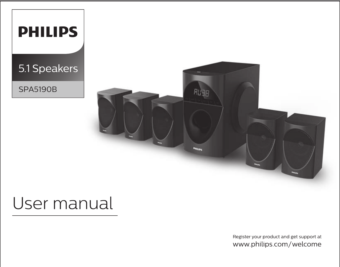| <b>PHILIPS</b>  |                                |
|-----------------|--------------------------------|
| 5.1 Speakers    |                                |
| <b>SPA5190B</b> | <b>RL</b> JB<br><b>PHILIPS</b> |

# User manual

Register your product and get support at www.philips.com/welcome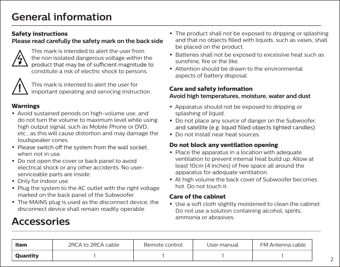## **General information**

#### **Safety instructions**

### **Please read carefully the safety mark on the back side**



This mark is intended to alert the user from the non isolated dangerous voltage within the<br>product that may be of sufficient magnitude to constitute a risk of electric shock to persons.



This mark is intented to alert the user for important operating and servicing instruction.

### **Warnings**

- **•** Avoid sustained periods on high-volume use, and do not turn the volume to maximum level while using high output signal, such as Mobile Phone or DVD, etc., as this will cause distortion and may damage the loudspeaker cones.
- Please switch off the system from the wall socket, when not in use.
- **•** Do not open the cover or back panel to avoid electrical shock or any other accidents. No userserviceable parts are inside.
- **•** Only for indoor use.
- **•** Plug the system to the AC outlet with the right voltage marked on the back panel of the Subwoofer.
- **•** The MAINS plug is used as the disconnect device, the disconnect device shall remain readily operable.
- The product shall not be exposed to dripping or splashing **•** and that no objects filled with liquids, such as vases, shall be placed on the product.
- **•** Batteries shall not be exposed to excessive heat such as sunshine, fire or the like.
- **•** Attention should be drawn to the environmental aspects of battery disposal.

#### **Care and safety information Avoid high temperatures, moisture, water and dust**

- **•** Apparatus should not be exposed to dripping or splashing of liquid.
- **•** Do not place any source of danger on the Subwoofer,
- **•** Do not install near heat sources.

### **Do not block any ventilation opening**

- **•** Place the apparatus in a location with adequate ventilation to prevent internal heat build up. Allow at least 10cm (4 inches) of free space all around the apparatus for adequate ventilation.
- **•** At high volume the back cover of Subwoofer becomes hot. Do not touch it.

#### **Care of the cabinet**

**•** Use a soft cloth slightly moistened to clean the cabinet. Do not use a solution containing alcohol, spirits,

# ammonia or abrasives. **Accessories**

| Item            | 2RCA to 2RCA cable | Remote control | User manual | FM Antenna cable |
|-----------------|--------------------|----------------|-------------|------------------|
| <b>Ouantity</b> |                    |                |             |                  |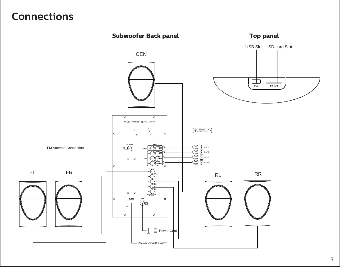### **Connections**

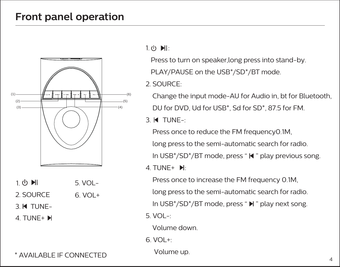### **Front panel operation**



- $1(b)$   $\blacksquare$ 5. VOL-
- 2. SOURCE VOL+ 6.
- 3. TUNE-

4. TUNE+

 $1.$  (b)  $\blacksquare$ 

Press to turn on speaker,long press into stand-by.

PLAY/PAUSE on the USB\*/SD\*/BT mode.

2. SOURCE:

 Change the input mode-AU for Audio in, bt for Bluetooth, DU for DVD, Ud for USB\*, Sd for SD\*, 87.5 for FM.

3. TUNE-:

 Press once to reduce the FM frequency0.1M, long press to the semi-automatic search for radio. In USB $*/SD*/BT$  mode, press " $\blacktriangleleft$ " play previous song.  $4$  TUNE+  $\mathbb{H}$ 

 Press once to increase the FM frequency 0.1M, long press to the semi-automatic search for radio. In USB\*/SD\*/BT mode, press " $\blacktriangleright$ " play next song. 5. VOL-:

Volume down.

 $6$  VOL $+$ 

Volume up.

\* AVAILABLE IF CONNECTED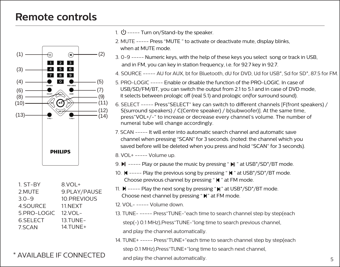### **Remote controls**



| 1. ST-BY    | 8.VOL+       |
|-------------|--------------|
| 2.MUTE      | 9.PLAY/PAUSE |
| $3.0 - 9$   | 10.PREVIOUS  |
| 4.SOURCE    | 11.NEXT      |
| 5.PRO-LOGIC | 12.VOL-      |
| 6.SELECT    | 13.TUNE-     |
| 7.SCAN      | 14.TUNE+     |

### \* AVAILABLE IF CONNECTED

- 1.  $(b)$  ----- Turn on/Stand-by the speaker.
- 2. MUTE ----- Press "MUTE " to activate or deactivate mute, display blinks, when at MUTE mode.
- 3. 0-9 ----- Numeric keys, with the help of these keys you select song or track in USB, and in FM, you can key in station frequency, i.e. for 92.7 key in 92.7.
- 4. SOURCE ----- AU for AUX, bt for Bluetooth, dU for DVD, Ud for USB\*, Sd for SD\*, 87.5 for FM.
- 5. PRO-LOGIC ----- Enable or disable the function of the PRO-LOGIC. In case of USB/SD/FM/BT, you can switch the output from 2.1 to 5.1 and in case of DVD mode, it selects between prologic off (real 5.1) and prologic on(for surround sound).
- 6. SELECT ----- Press"SELECT" key can switch to different channels [F(front speakers) / S(surround speakers) / C(Centre speaker) / b(subwoofer)]. At the same time, press"VOL+/-" to increase or decrease every channel's volume. The number of numeral tube will change accordingly.
- 7. SCAN ----- It will enter into automatic search channel and automatic save channel when pressing "SCAN" for 3 seconds. (noted: the channel which you saved before will be deleted when you press and hold "SCAN" for 3 seconds).

8. VOL+ ----- Volume up.

- 9. Ill ----- Play or pause the music by pressing " Ill " at USB\*/SD\*/BT mode.
- 10.  $\blacksquare$  ----- Play the previous song by pressing " $\blacksquare$  " at USB\*/SD\*/BT mode. Choose previous channel by pressing " $\blacktriangleleft$  " at FM mode.
- 11.  $\blacksquare$  ----- Play the next song by pressing " $\blacksquare$ " at USB\*/SD\*/BT mode. Choose next channel by pressing " $\mathbb{N}$ " at FM mode.
- 12. VOL- ----- Volume down.
- 13. TUNE- ----- Press"TUNE-"each time to search channel step by step(each step(-) 0.1 MHz), Press "TUNE-"long time to search previous channel. and play the channel automatically.
- 14. TUNE+ ----- Press"TUNE+"each time to search channel step by step(each step 0.1 MHz),Press"TUNE+"long time to search next channel,

and play the channel automatically.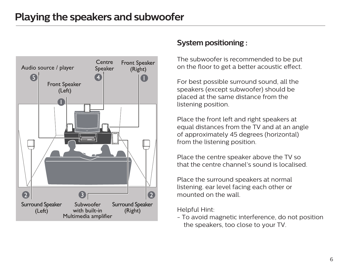

### **System positioning :**

The subwoofer is recommended to be put on the floor to get a better acoustic effect.

For best possible surround sound, all the speakers (except subwoofer) should be placed at the same distance from the listening position.

Place the front left and right speakers at equal distances from the TV and at an angle of approximately 45 degrees (horizontal) from the listening position.

Place the centre speaker above the TV so that the centre channel's sound is localised.

Place the surround speakers at normal listening. ear level facing each other or mounted on the wall.

Helpful Hint:

- To avoid magnetic interference, do not position the speakers, too close to your TV.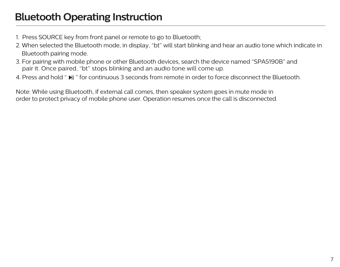- 1. Press SOURCE key from front panel or remote to go to Bluetooth;
- 2. When selected the Bluetooth mode, in display, "bt" will start blinking and hear an audio tone which indicate in Bluetooth pairing mode.
- 3. For pairing with mobile phone or other Bluetooth devices, search the device named "SPA5190B" and pair it. Once paired, "bt" stops blinking and an audio tone will come up.
- 4. Press and hold " I " for continuous 3 seconds from remote in order to force disconnect the Bluetooth.

Note: While using Bluetooth, if external call comes, then speaker system goes in mute mode in order to protect privacy of mobile phone user. Operation resumes once the call is disconnected.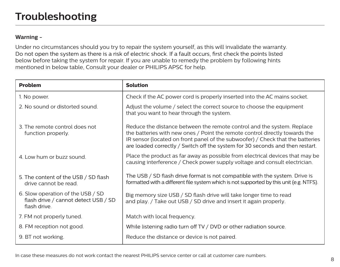#### **Warning -**

Under no circumstances should you try to repair the system yourself, as this will invalidate the warranty.<br>Do not open the system as there is a risk of electric shock. If a fault occurs, first check the points listed below before taking the system for repair. If you are unable to remedy the problem by following hints mentioned in below table, Consult your dealer or PHILIPS APSC for help.

| Problem                                                                                   | <b>Solution</b>                                                                                                                                                                                                                                                                                                          |
|-------------------------------------------------------------------------------------------|--------------------------------------------------------------------------------------------------------------------------------------------------------------------------------------------------------------------------------------------------------------------------------------------------------------------------|
| 1. No power.                                                                              | Check if the AC power cord is properly inserted into the AC mains socket.                                                                                                                                                                                                                                                |
| 2. No sound or distorted sound.                                                           | Adjust the volume / select the correct source to choose the equipment<br>that you want to hear through the system.                                                                                                                                                                                                       |
| 3. The remote control does not<br>function properly.                                      | Reduce the distance between the remote control and the system. Replace<br>the batteries with new ones / Point the remote control directly towards the<br>IR sensor (located on front panel of the subwoofer) / Check that the batteries<br>are loaded correctly / Switch off the system for 30 seconds and then restart. |
| 4. Low hum or buzz sound.                                                                 | Place the product as far away as possible from electrical devices that may be<br>causing interference / Check power supply voltage and consult electrician.                                                                                                                                                              |
| 5. The content of the USB / SD flash<br>drive cannot be read.                             | The USB / SD flash drive format is not compatible with the system. Drive is<br>formatted with a different file system which is not supported by this unit (e.g. NTFS).                                                                                                                                                   |
| 6. Slow operation of the USB / SD<br>flash drive / cannot detect USB / SD<br>flash drive. | Big memory size USB / SD flash drive will take longer time to read<br>and play. / Take out USB / SD drive and insert it again properly.                                                                                                                                                                                  |
| 7. FM not properly tuned.                                                                 | Match with local frequency.                                                                                                                                                                                                                                                                                              |
| 8. FM reception not good.                                                                 | While listening radio turn off TV / DVD or other radiation source.                                                                                                                                                                                                                                                       |
| 9. BT not working.                                                                        | Reduce the distance or device is not paired.                                                                                                                                                                                                                                                                             |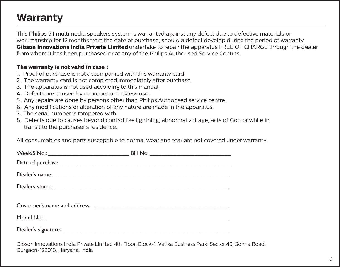### **Warranty**

This Philips 5.1 multimedia speakers system is warranted against any defect due to defective materials or workmanship for 12 months from the date of purchase, should a defect develop during the period of warranty, **Gibson Innovations India Private Limited** undertake to repair the apparatus FREE OF CHARGE through the dealer from whom it has been purchased or at any of the Philips Authorised Service Centres.

#### **The warranty is not valid in case :**

- 1. Proof of purchase is not accompanied with this warranty card.
- 2. The warranty card is not completed immediately after purchase.
- 3. The apparatus is not used according to this manual.
- 4. Defects are caused by improper or reckless use.
- 5. Any repairs are done by persons other than Philips Authorised service centre.
- 6. Any modifications or alteration of any nature are made in the apparatus.
- 7. The serial number is tampered with.
- 8. Defects due to causes beyond control like lightning, abnormal voltage, acts of God or while in transit to the purchaser's residence.

All consumables and parts susceptible to normal wear and tear are not covered under warranty.

Gibson Innovations India Private Limited 4th Floor, Block-1, Vatika Business Park, Sector 49, Sohna Road, Gurgaon-122018, Haryana, India